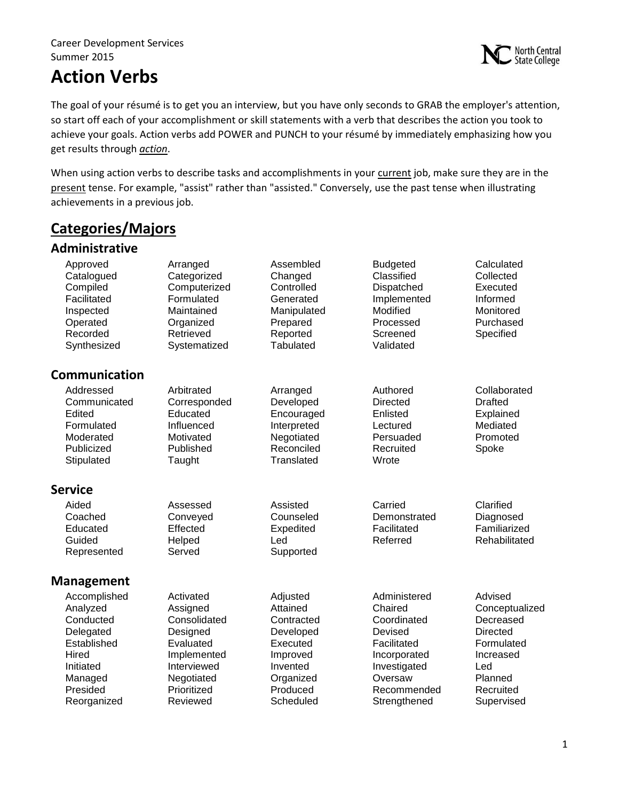#### Career Development Services Summer 2015

# **Action Verbs**



The goal of your résumé is to get you an interview, but you have only seconds to GRAB the employer's attention, so start off each of your accomplishment or skill statements with a verb that describes the action you took to achieve your goals. Action verbs add POWER and PUNCH to your résumé by immediately emphasizing how you get results through *action*.

When using action verbs to describe tasks and accomplishments in your current job, make sure they are in the present tense. For example, "assist" rather than "assisted." Conversely, use the past tense when illustrating achievements in a previous job.

### **Categories/Majors**

#### **Administrative**

| Approved<br>Catalogued<br>Compiled<br>Facilitated<br>Inspected<br>Operated<br>Recorded<br>Synthesized                         | Arranged<br>Categorized<br>Computerized<br>Formulated<br>Maintained<br>Organized<br>Retrieved<br>Systematized                         | Assembled<br>Changed<br>Controlled<br>Generated<br>Manipulated<br>Prepared<br>Reported<br>Tabulated                       | <b>Budgeted</b><br>Classified<br>Dispatched<br>Implemented<br>Modified<br>Processed<br>Screened<br>Validated                               | Calculated<br>Collected<br>Executed<br>Informed<br>Monitored<br>Purchased<br>Specified                                            |
|-------------------------------------------------------------------------------------------------------------------------------|---------------------------------------------------------------------------------------------------------------------------------------|---------------------------------------------------------------------------------------------------------------------------|--------------------------------------------------------------------------------------------------------------------------------------------|-----------------------------------------------------------------------------------------------------------------------------------|
| Communication                                                                                                                 |                                                                                                                                       |                                                                                                                           |                                                                                                                                            |                                                                                                                                   |
| Addressed<br>Communicated<br>Edited<br>Formulated<br>Moderated<br>Publicized<br>Stipulated                                    | Arbitrated<br>Corresponded<br>Educated<br>Influenced<br>Motivated<br>Published<br>Taught                                              | Arranged<br>Developed<br>Encouraged<br>Interpreted<br>Negotiated<br>Reconciled<br>Translated                              | Authored<br><b>Directed</b><br>Enlisted<br>Lectured<br>Persuaded<br>Recruited<br>Wrote                                                     | Collaborated<br><b>Drafted</b><br>Explained<br>Mediated<br>Promoted<br>Spoke                                                      |
| <b>Service</b>                                                                                                                |                                                                                                                                       |                                                                                                                           |                                                                                                                                            |                                                                                                                                   |
| Aided<br>Coached<br>Educated<br>Guided<br>Represented                                                                         | Assessed<br>Conveyed<br>Effected<br>Helped<br>Served                                                                                  | Assisted<br>Counseled<br>Expedited<br>Led<br>Supported                                                                    | Carried<br>Demonstrated<br>Facilitated<br>Referred                                                                                         | Clarified<br>Diagnosed<br>Familiarized<br>Rehabilitated                                                                           |
| <b>Management</b>                                                                                                             |                                                                                                                                       |                                                                                                                           |                                                                                                                                            |                                                                                                                                   |
| Accomplished<br>Analyzed<br>Conducted<br>Delegated<br>Established<br>Hired<br>Initiated<br>Managed<br>Presided<br>Reorganized | Activated<br>Assigned<br>Consolidated<br>Designed<br>Evaluated<br>Implemented<br>Interviewed<br>Negotiated<br>Prioritized<br>Reviewed | Adjusted<br>Attained<br>Contracted<br>Developed<br>Executed<br>Improved<br>Invented<br>Organized<br>Produced<br>Scheduled | Administered<br>Chaired<br>Coordinated<br>Devised<br>Facilitated<br>Incorporated<br>Investigated<br>Oversaw<br>Recommended<br>Strengthened | Advised<br>Conceptualized<br>Decreased<br><b>Directed</b><br>Formulated<br>Increased<br>Led<br>Planned<br>Recruited<br>Supervised |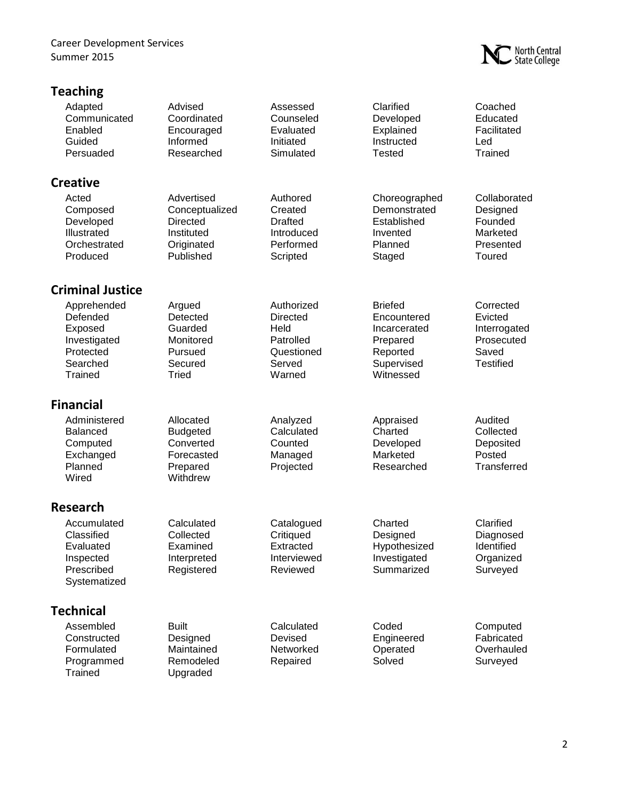Career Development Services Summer 2015

### **Teaching**



| -------                                                                                |                                                                                          |                                                                                      |                                                                                                  |                                                                                 |
|----------------------------------------------------------------------------------------|------------------------------------------------------------------------------------------|--------------------------------------------------------------------------------------|--------------------------------------------------------------------------------------------------|---------------------------------------------------------------------------------|
| Adapted<br>Communicated<br>Enabled<br>Guided<br>Persuaded                              | Advised<br>Coordinated<br>Encouraged<br>Informed<br>Researched                           | Assessed<br>Counseled<br>Evaluated<br>Initiated<br>Simulated                         | Clarified<br>Developed<br>Explained<br>Instructed<br><b>Tested</b>                               | Coached<br>Educated<br>Facilitated<br>Led<br>Trained                            |
| <b>Creative</b>                                                                        |                                                                                          |                                                                                      |                                                                                                  |                                                                                 |
| Acted<br>Composed<br>Developed<br>Illustrated<br>Orchestrated<br>Produced              | Advertised<br>Conceptualized<br><b>Directed</b><br>Instituted<br>Originated<br>Published | Authored<br>Created<br><b>Drafted</b><br>Introduced<br>Performed<br>Scripted         | Choreographed<br>Demonstrated<br>Established<br>Invented<br>Planned<br>Staged                    | Collaborated<br>Designed<br>Founded<br>Marketed<br>Presented<br>Toured          |
| <b>Criminal Justice</b>                                                                |                                                                                          |                                                                                      |                                                                                                  |                                                                                 |
| Apprehended<br>Defended<br>Exposed<br>Investigated<br>Protected<br>Searched<br>Trained | Argued<br>Detected<br>Guarded<br>Monitored<br>Pursued<br>Secured<br>Tried                | Authorized<br><b>Directed</b><br>Held<br>Patrolled<br>Questioned<br>Served<br>Warned | <b>Briefed</b><br>Encountered<br>Incarcerated<br>Prepared<br>Reported<br>Supervised<br>Witnessed | Corrected<br>Evicted<br>Interrogated<br>Prosecuted<br>Saved<br><b>Testified</b> |
| <b>Financial</b>                                                                       |                                                                                          |                                                                                      |                                                                                                  |                                                                                 |
| Administered<br><b>Balanced</b><br>Computed<br>Exchanged<br>Planned<br>Wired           | Allocated<br><b>Budgeted</b><br>Converted<br>Forecasted<br>Prepared<br>Withdrew          | Analyzed<br>Calculated<br>Counted<br>Managed<br>Projected                            | Appraised<br>Charted<br>Developed<br>Marketed<br>Researched                                      | Audited<br>Collected<br>Deposited<br>Posted<br>Transferred                      |
| Research                                                                               |                                                                                          |                                                                                      |                                                                                                  |                                                                                 |
| Accumulated<br>Classified<br>Evaluated<br>Inspected<br>Prescribed<br>Systematized      | Calculated<br>Collected<br>Examined<br>Interpreted<br>Registered                         | Catalogued<br>Critiqued<br>Extracted<br>Interviewed<br>Reviewed                      | Charted<br>Designed<br>Hypothesized<br>Investigated<br>Summarized                                | Clarified<br>Diagnosed<br>Identified<br>Organized<br>Surveyed                   |
| <b>Technical</b>                                                                       |                                                                                          |                                                                                      |                                                                                                  |                                                                                 |
| Assembled<br>Constructed<br>Formulated<br>Programmed<br>Trained                        | <b>Built</b><br>Designed<br>Maintained<br>Remodeled<br>Upgraded                          | Calculated<br>Devised<br>Networked<br>Repaired                                       | Coded<br>Engineered<br>Operated<br>Solved                                                        | Computed<br>Fabricated<br>Overhauled<br>Surveyed                                |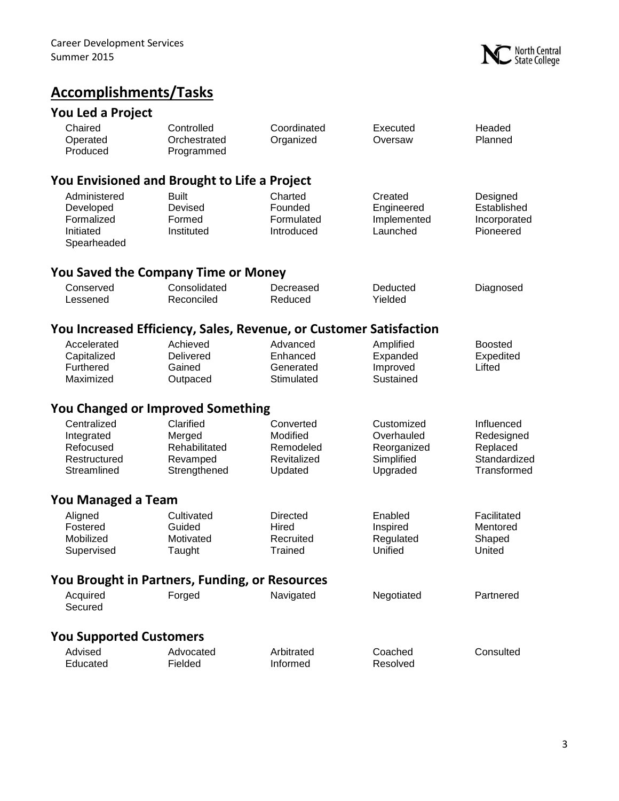

# **Accomplishments/Tasks**

## **You Led a Project**

| Chaired<br>Operated<br>Produced                                       | Controlled<br>Orchestrated<br>Programmed                           | Coordinated<br>Organized                                     | Executed<br>Oversaw                                               | Headed<br>Planned                                                   |
|-----------------------------------------------------------------------|--------------------------------------------------------------------|--------------------------------------------------------------|-------------------------------------------------------------------|---------------------------------------------------------------------|
|                                                                       | You Envisioned and Brought to Life a Project                       |                                                              |                                                                   |                                                                     |
| Administered<br>Developed<br>Formalized<br>Initiated<br>Spearheaded   | <b>Built</b><br>Devised<br>Formed<br>Instituted                    | Charted<br>Founded<br>Formulated<br>Introduced               | Created<br>Engineered<br>Implemented<br>Launched                  | Designed<br>Established<br>Incorporated<br>Pioneered                |
|                                                                       | <b>You Saved the Company Time or Money</b>                         |                                                              |                                                                   |                                                                     |
| Conserved<br>Lessened                                                 | Consolidated<br>Reconciled                                         | Decreased<br>Reduced                                         | Deducted<br>Yielded                                               | Diagnosed                                                           |
|                                                                       | You Increased Efficiency, Sales, Revenue, or Customer Satisfaction |                                                              |                                                                   |                                                                     |
| Accelerated<br>Capitalized<br>Furthered<br>Maximized                  | Achieved<br>Delivered<br>Gained<br>Outpaced                        | Advanced<br>Enhanced<br>Generated<br>Stimulated              | Amplified<br>Expanded<br>Improved<br>Sustained                    | <b>Boosted</b><br>Expedited<br>Lifted                               |
|                                                                       | <b>You Changed or Improved Something</b>                           |                                                              |                                                                   |                                                                     |
| Centralized<br>Integrated<br>Refocused<br>Restructured<br>Streamlined | Clarified<br>Merged<br>Rehabilitated<br>Revamped<br>Strengthened   | Converted<br>Modified<br>Remodeled<br>Revitalized<br>Updated | Customized<br>Overhauled<br>Reorganized<br>Simplified<br>Upgraded | Influenced<br>Redesigned<br>Replaced<br>Standardized<br>Transformed |
| You Managed a Team                                                    |                                                                    |                                                              |                                                                   |                                                                     |
| Aligned<br>Fostered<br>Mobilized<br>Supervised                        | Cultivated<br>Guided<br>Motivated<br>Taught                        | <b>Directed</b><br>Hired<br>Recruited<br>Trained             | Enabled<br>Inspired<br>Regulated<br>Unified                       | Facilitated<br>Mentored<br>Shaped<br>United                         |
|                                                                       | You Brought in Partners, Funding, or Resources                     |                                                              |                                                                   |                                                                     |
| Acquired<br>Secured                                                   | Forged                                                             | Navigated                                                    | Negotiated                                                        | Partnered                                                           |
| <b>You Supported Customers</b>                                        |                                                                    |                                                              |                                                                   |                                                                     |
| Advised<br>Educated                                                   | Advocated<br>Fielded                                               | Arbitrated<br>Informed                                       | Coached<br>Resolved                                               | Consulted                                                           |